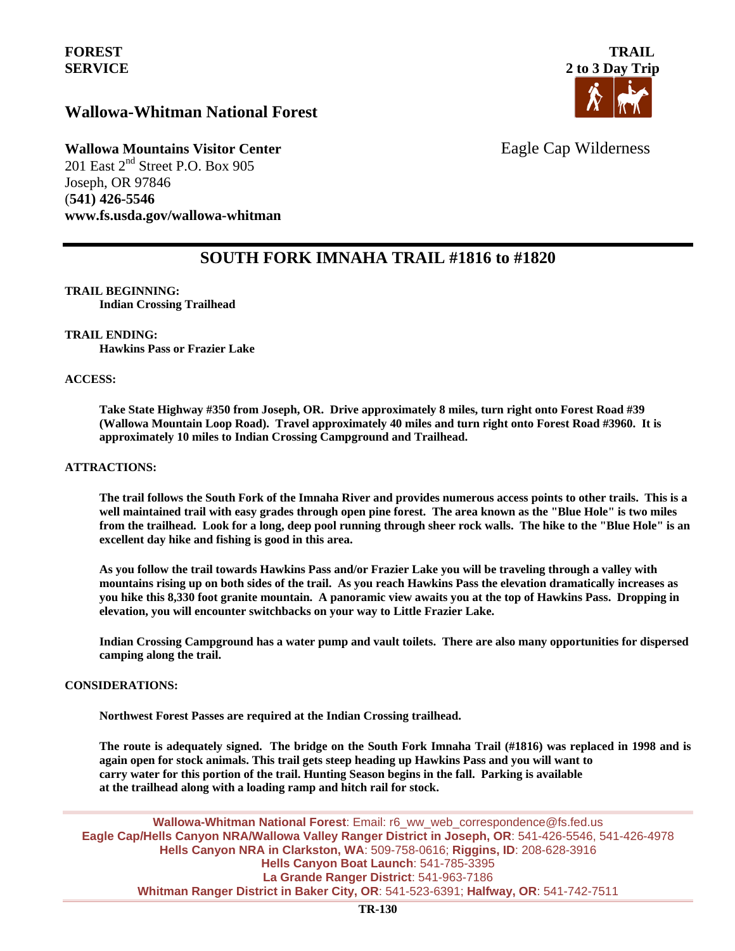## **Wallowa-Whitman National Forest**



# **Wallowa Mountains Visitor Center** Eagle Cap Wilderness

201 East 2<sup>nd</sup> Street P.O. Box 905 Joseph, OR 97846 (**541) 426-5546 www.fs.usda.gov/wallowa-whitman** 

## **SOUTH FORK IMNAHA TRAIL #1816 to #1820**

### **TRAIL BEGINNING:**

**Indian Crossing Trailhead**

#### **TRAIL ENDING:**

**Hawkins Pass or Frazier Lake** 

#### **ACCESS:**

**Take State Highway #350 from Joseph, OR. Drive approximately 8 miles, turn right onto Forest Road #39 (Wallowa Mountain Loop Road). Travel approximately 40 miles and turn right onto Forest Road #3960. It is approximately 10 miles to Indian Crossing Campground and Trailhead.**

#### **ATTRACTIONS:**

**The trail follows the South Fork of the Imnaha River and provides numerous access points to other trails. This is a well maintained trail with easy grades through open pine forest. The area known as the "Blue Hole" is two miles from the trailhead. Look for a long, deep pool running through sheer rock walls. The hike to the "Blue Hole" is an excellent day hike and fishing is good in this area.** 

**As you follow the trail towards Hawkins Pass and/or Frazier Lake you will be traveling through a valley with mountains rising up on both sides of the trail. As you reach Hawkins Pass the elevation dramatically increases as you hike this 8,330 foot granite mountain. A panoramic view awaits you at the top of Hawkins Pass. Dropping in elevation, you will encounter switchbacks on your way to Little Frazier Lake.** 

**Indian Crossing Campground has a water pump and vault toilets. There are also many opportunities for dispersed camping along the trail.**

#### **CONSIDERATIONS:**

**Northwest Forest Passes are required at the Indian Crossing trailhead.**

**The route is adequately signed. The bridge on the South Fork Imnaha Trail (#1816) was replaced in 1998 and is again open for stock animals. This trail gets steep heading up Hawkins Pass and you will want to carry water for this portion of the trail. Hunting Season begins in the fall. Parking is available at the trailhead along with a loading ramp and hitch rail for stock.** 

**Wallowa-Whitman National Forest**: Email: r6\_ww\_web\_correspondence@fs.fed.us **Eagle Cap/Hells Canyon NRA/Wallowa Valley Ranger District in Joseph, OR**: 541-426-5546, 541-426-4978 **Hells Canyon NRA in Clarkston, WA**: 509-758-0616; **Riggins, ID**: 208-628-3916 **Hells Canyon Boat Launch**: 541-785-3395 **La Grande Ranger District**: 541-963-7186 **Whitman Ranger District in Baker City, OR**: 541-523-6391; **Halfway, OR**: 541-742-7511